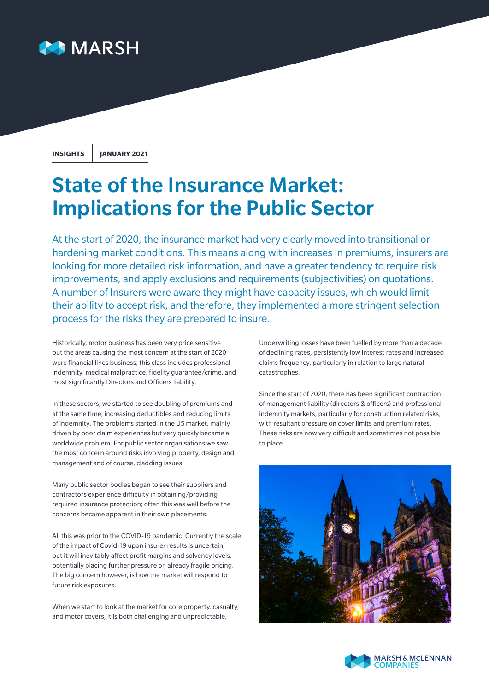

**INSIGHTS JANUARY 2021**

# State of the Insurance Market: Implications for the Public Sector

At the start of 2020, the insurance market had very clearly moved into transitional or hardening market conditions. This means along with increases in premiums, insurers are looking for more detailed risk information, and have a greater tendency to require risk improvements, and apply exclusions and requirements (subjectivities) on quotations. A number of Insurers were aware they might have capacity issues, which would limit their ability to accept risk, and therefore, they implemented a more stringent selection process for the risks they are prepared to insure.

Historically, motor business has been very price sensitive but the areas causing the most concern at the start of 2020 were financial lines business; this class includes professional indemnity, medical malpractice, fidelity guarantee/crime, and most significantly Directors and Officers liability.

In these sectors, we started to see doubling of premiums and at the same time, increasing deductibles and reducing limits of indemnity. The problems started in the US market, mainly driven by poor claim experiences but very quickly became a worldwide problem. For public sector organisations we saw the most concern around risks involving property, design and management and of course, cladding issues.

Many public sector bodies began to see their suppliers and contractors experience difficulty in obtaining/providing required insurance protection; often this was well before the concerns became apparent in their own placements.

All this was prior to the COVID-19 pandemic. Currently the scale of the impact of Covid-19 upon insurer results is uncertain, but it will inevitably affect profit margins and solvency levels, potentially placing further pressure on already fragile pricing. The big concern however, is how the market will respond to future risk exposures.

When we start to look at the market for core property, casualty, and motor covers, it is both challenging and unpredictable.

Underwriting losses have been fuelled by more than a decade of declining rates, persistently low interest rates and increased claims frequency, particularly in relation to large natural catastrophes.

Since the start of 2020, there has been significant contraction of management liability (directors & officers) and professional indemnity markets, particularly for construction related risks, with resultant pressure on cover limits and premium rates. These risks are now very difficult and sometimes not possible to place.



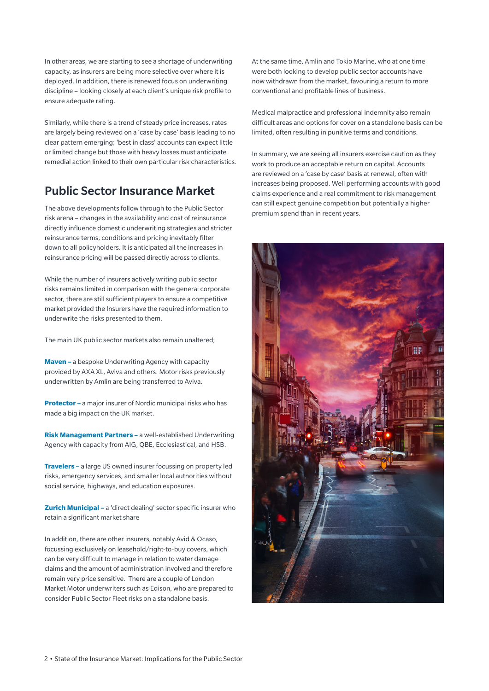In other areas, we are starting to see a shortage of underwriting capacity, as insurers are being more selective over where it is deployed. In addition, there is renewed focus on underwriting discipline – looking closely at each client's unique risk profile to ensure adequate rating.

Similarly, while there is a trend of steady price increases, rates are largely being reviewed on a 'case by case' basis leading to no clear pattern emerging; 'best in class' accounts can expect little or limited change but those with heavy losses must anticipate remedial action linked to their own particular risk characteristics.

## Public Sector Insurance Market

The above developments follow through to the Public Sector risk arena – changes in the availability and cost of reinsurance directly influence domestic underwriting strategies and stricter reinsurance terms, conditions and pricing inevitably filter down to all policyholders. It is anticipated all the increases in reinsurance pricing will be passed directly across to clients.

While the number of insurers actively writing public sector risks remains limited in comparison with the general corporate sector, there are still sufficient players to ensure a competitive market provided the Insurers have the required information to underwrite the risks presented to them.

The main UK public sector markets also remain unaltered;

**Maven –** a bespoke Underwriting Agency with capacity provided by AXA XL, Aviva and others. Motor risks previously underwritten by Amlin are being transferred to Aviva.

**Protector –** a major insurer of Nordic municipal risks who has made a big impact on the UK market.

**Risk Management Partners –** a well-established Underwriting Agency with capacity from AIG, QBE, Ecclesiastical, and HSB.

**Travelers –** a large US owned insurer focussing on property led risks, emergency services, and smaller local authorities without social service, highways, and education exposures.

**Zurich Municipal –** a 'direct dealing' sector specific insurer who retain a significant market share

In addition, there are other insurers, notably Avid & Ocaso, focussing exclusively on leasehold/right-to-buy covers, which can be very difficult to manage in relation to water damage claims and the amount of administration involved and therefore remain very price sensitive. There are a couple of London Market Motor underwriters such as Edison, who are prepared to consider Public Sector Fleet risks on a standalone basis.

At the same time, Amlin and Tokio Marine, who at one time were both looking to develop public sector accounts have now withdrawn from the market, favouring a return to more conventional and profitable lines of business.

Medical malpractice and professional indemnity also remain difficult areas and options for cover on a standalone basis can be limited, often resulting in punitive terms and conditions.

In summary, we are seeing all insurers exercise caution as they work to produce an acceptable return on capital. Accounts are reviewed on a 'case by case' basis at renewal, often with increases being proposed. Well performing accounts with good claims experience and a real commitment to risk management can still expect genuine competition but potentially a higher premium spend than in recent years.

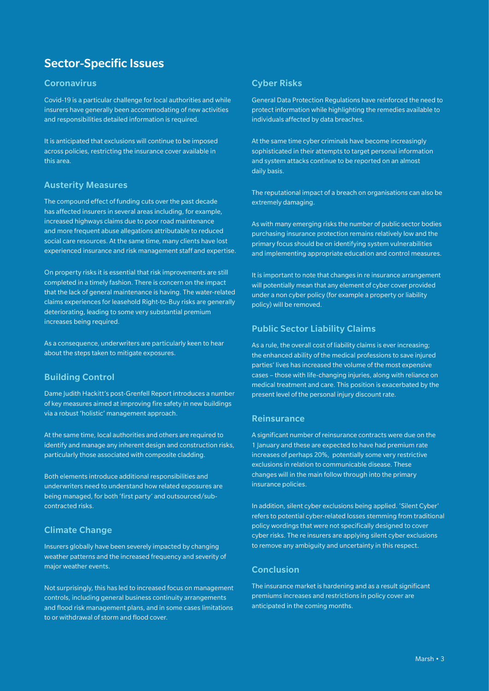# Sector-Specific Issues

#### **Coronavirus**

Covid-19 is a particular challenge for local authorities and while insurers have generally been accommodating of new activities and responsibilities detailed information is required.

It is anticipated that exclusions will continue to be imposed across policies, restricting the insurance cover available in this area.

## Austerity Measures

The compound effect of funding cuts over the past decade has affected insurers in several areas including, for example, increased highways claims due to poor road maintenance and more frequent abuse allegations attributable to reduced social care resources. At the same time, many clients have lost experienced insurance and risk management staff and expertise.

On property risks it is essential that risk improvements are still completed in a timely fashion. There is concern on the impact that the lack of general maintenance is having. The water-related claims experiences for leasehold Right-to-Buy risks are generally deteriorating, leading to some very substantial premium increases being required.

As a consequence, underwriters are particularly keen to hear about the steps taken to mitigate exposures.

#### Building Control

Dame Judith Hackitt's post-Grenfell Report introduces a number of key measures aimed at improving fire safety in new buildings via a robust 'holistic' management approach.

At the same time, local authorities and others are required to identify and manage any inherent design and construction risks, particularly those associated with composite cladding.

Both elements introduce additional responsibilities and underwriters need to understand how related exposures are being managed, for both 'first party' and outsourced/subcontracted risks.

#### Climate Change

Insurers globally have been severely impacted by changing weather patterns and the increased frequency and severity of major weather events.

Not surprisingly, this has led to increased focus on management controls, including general business continuity arrangements and flood risk management plans, and in some cases limitations to or withdrawal of storm and flood cover.

#### Cyber Risks

General Data Protection Regulations have reinforced the need to protect information while highlighting the remedies available to individuals affected by data breaches.

At the same time cyber criminals have become increasingly sophisticated in their attempts to target personal information and system attacks continue to be reported on an almost daily basis.

The reputational impact of a breach on organisations can also be extremely damaging.

As with many emerging risks the number of public sector bodies purchasing insurance protection remains relatively low and the primary focus should be on identifying system vulnerabilities and implementing appropriate education and control measures.

It is important to note that changes in re insurance arrangement will potentially mean that any element of cyber cover provided under a non cyber policy (for example a property or liability policy) will be removed.

#### Public Sector Liability Claims

As a rule, the overall cost of liability claims is ever increasing; the enhanced ability of the medical professions to save injured parties' lives has increased the volume of the most expensive cases – those with life-changing injuries, along with reliance on medical treatment and care. This position is exacerbated by the present level of the personal injury discount rate.

#### **Reinsurance**

A significant number of reinsurance contracts were due on the 1 January and these are expected to have had premium rate increases of perhaps 20%, potentially some very restrictive exclusions in relation to communicable disease. These changes will in the main follow through into the primary insurance policies.

In addition, silent cyber exclusions being applied. 'Silent Cyber' refers to potential cyber-related losses stemming from traditional policy wordings that were not specifically designed to cover cyber risks. The re insurers are applying silent cyber exclusions to remove any ambiguity and uncertainty in this respect.

## Conclusion

The insurance market is hardening and as a result significant premiums increases and restrictions in policy cover are anticipated in the coming months.